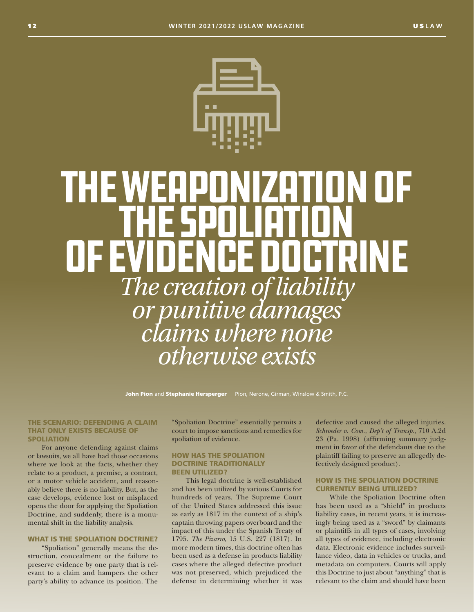

# The weaponization of the spoliation **Catiguinie** *The creation of liability or punitive damages claims where none otherwise exists*

John Pion and Stephanie Hersperger Pion, Nerone, Girman, Winslow & Smith, P.C.

#### THE SCENARIO: DEFENDING A CLAIM THAT ONLY EXISTS BECAUSE OF SPOLIATION

For anyone defending against claims or lawsuits, we all have had those occasions where we look at the facts, whether they relate to a product, a premise, a contract, or a motor vehicle accident, and reasonably believe there is no liability. But, as the case develops, evidence lost or misplaced opens the door for applying the Spoliation Doctrine, and suddenly, there is a monumental shift in the liability analysis.

### WHAT IS THE SPOLIATION DOCTRINE?

"Spoliation" generally means the destruction, concealment or the failure to preserve evidence by one party that is relevant to a claim and hampers the other party's ability to advance its position. The "Spoliation Doctrine" essentially permits a court to impose sanctions and remedies for spoliation of evidence.

## HOW HAS THE SPOLIATION DOCTRINE TRADITIONALLY BEEN UTILIZED?

This legal doctrine is well-established and has been utilized by various Courts for hundreds of years. The Supreme Court of the United States addressed this issue as early as 1817 in the context of a ship's captain throwing papers overboard and the impact of this under the Spanish Treaty of 1795. *The Pizarro*, 15 U.S. 227 (1817). In more modern times, this doctrine often has been used as a defense in products liability cases where the alleged defective product was not preserved, which prejudiced the defense in determining whether it was defective and caused the alleged injuries. *Schroeder v. Com., Dep't of Transp*., 710 A.2d 23 (Pa. 1998) (affirming summary judgment in favor of the defendants due to the plaintiff failing to preserve an allegedly defectively designed product).

# HOW IS THE SPOLIATION DOCTRINE CURRENTLY BEING UTILIZED?

While the Spoliation Doctrine often has been used as a "shield" in products liability cases, in recent years, it is increasingly being used as a "sword" by claimants or plaintiffs in all types of cases, involving all types of evidence, including electronic data. Electronic evidence includes surveillance video, data in vehicles or trucks, and metadata on computers. Courts will apply this Doctrine to just about "anything" that is relevant to the claim and should have been